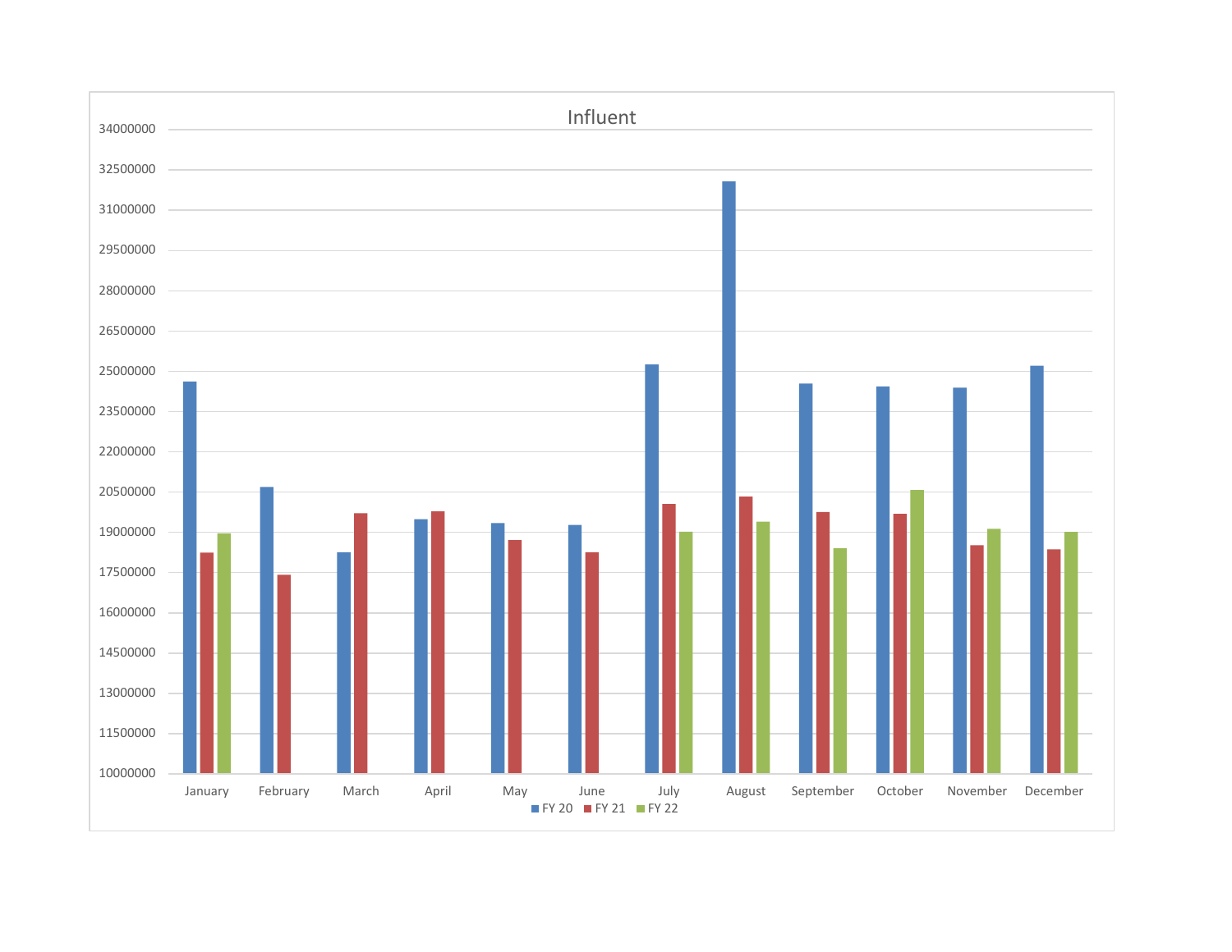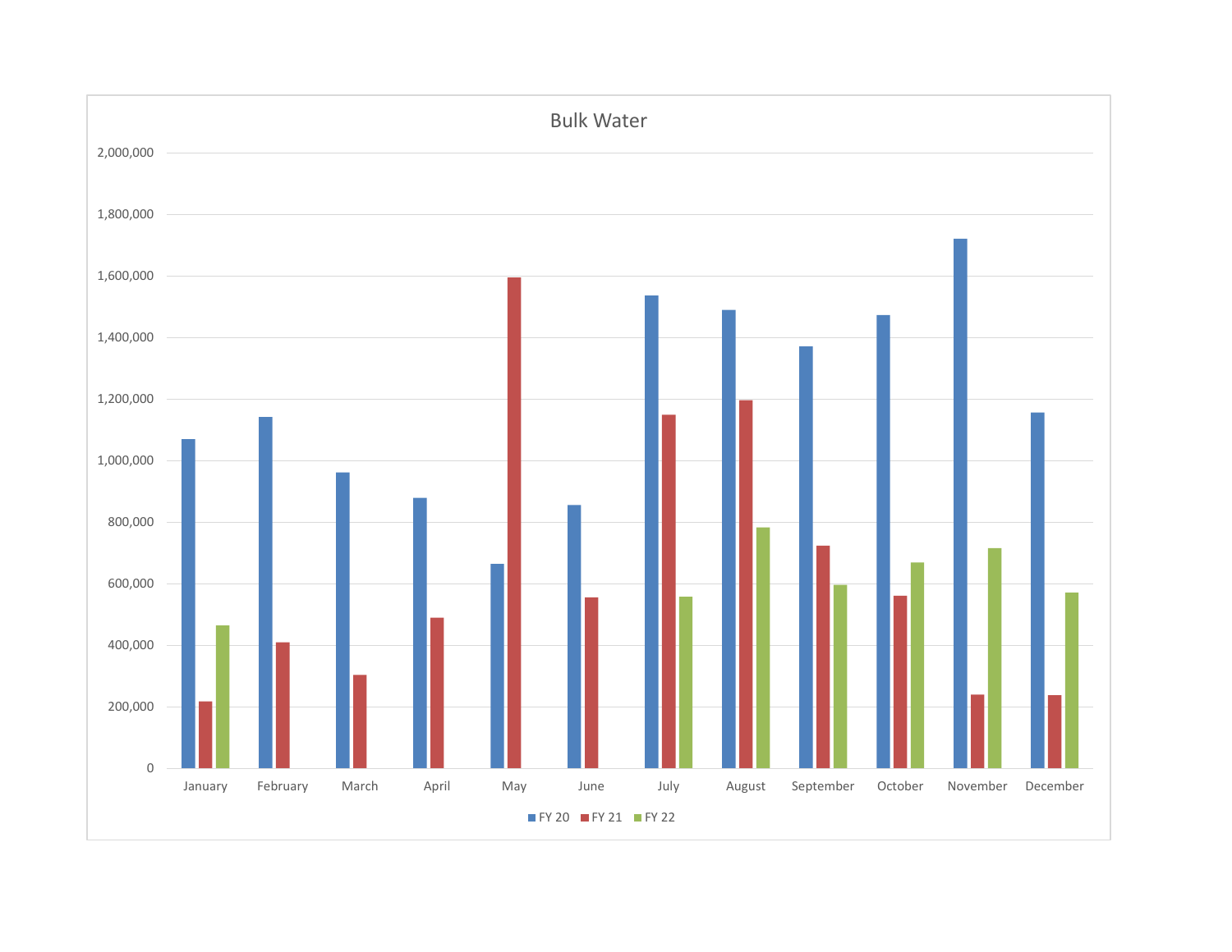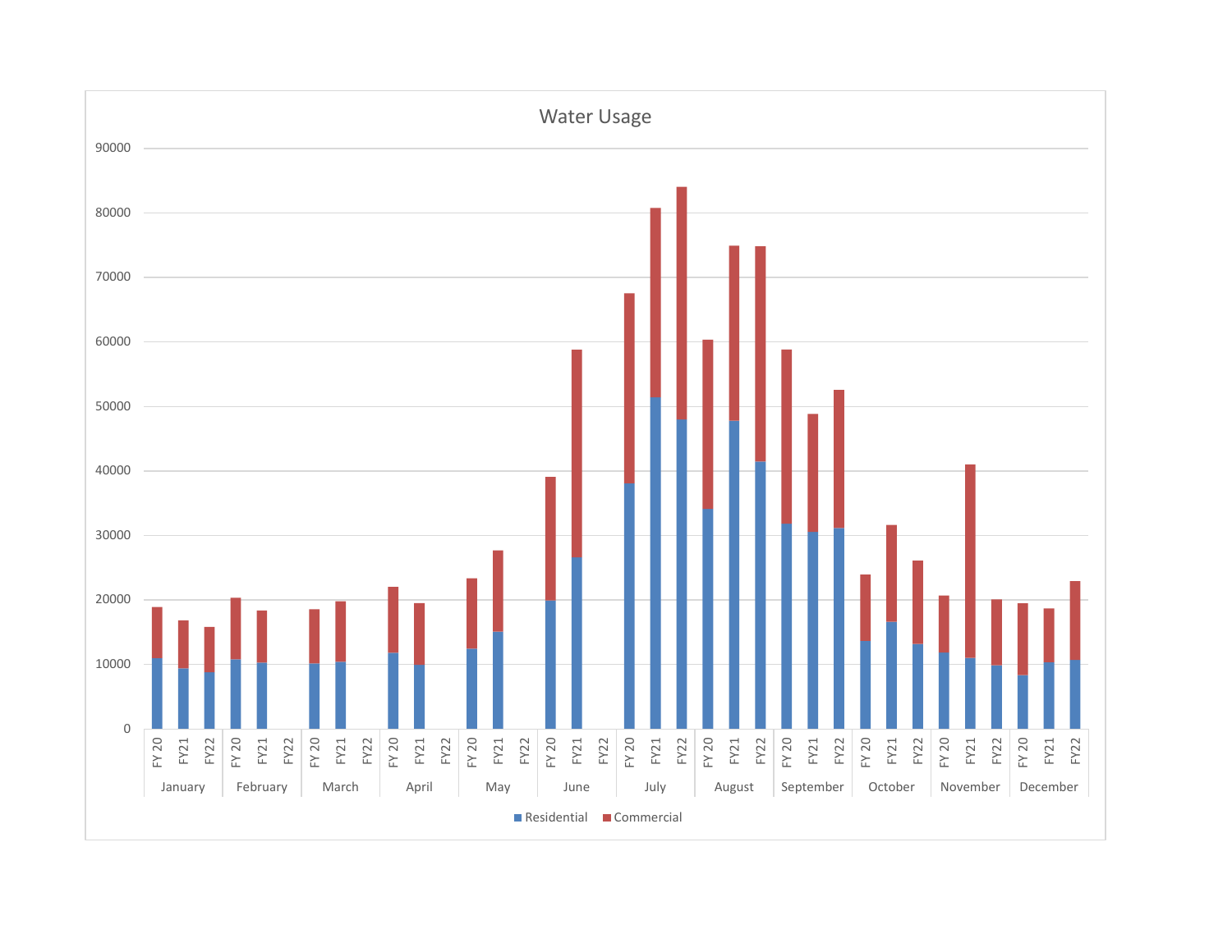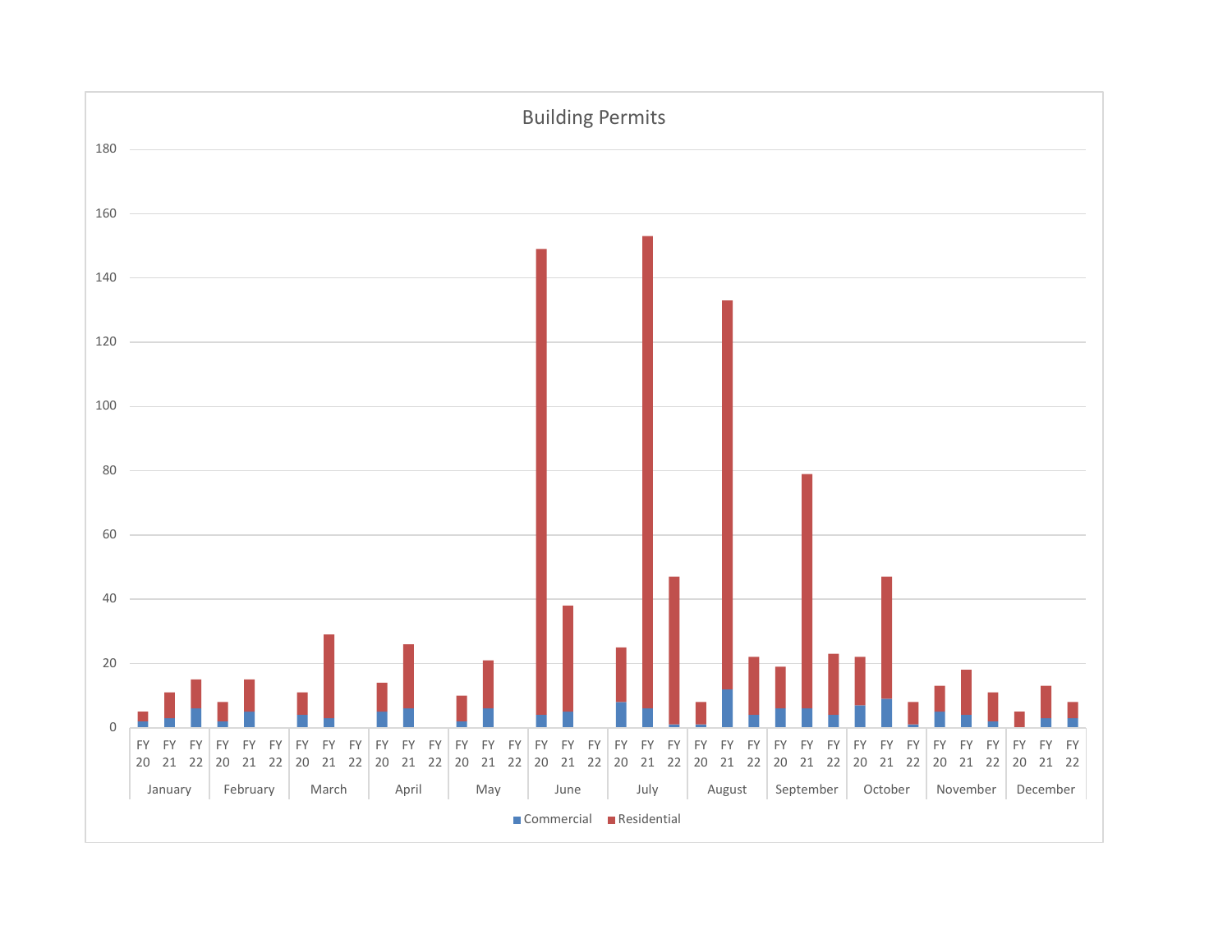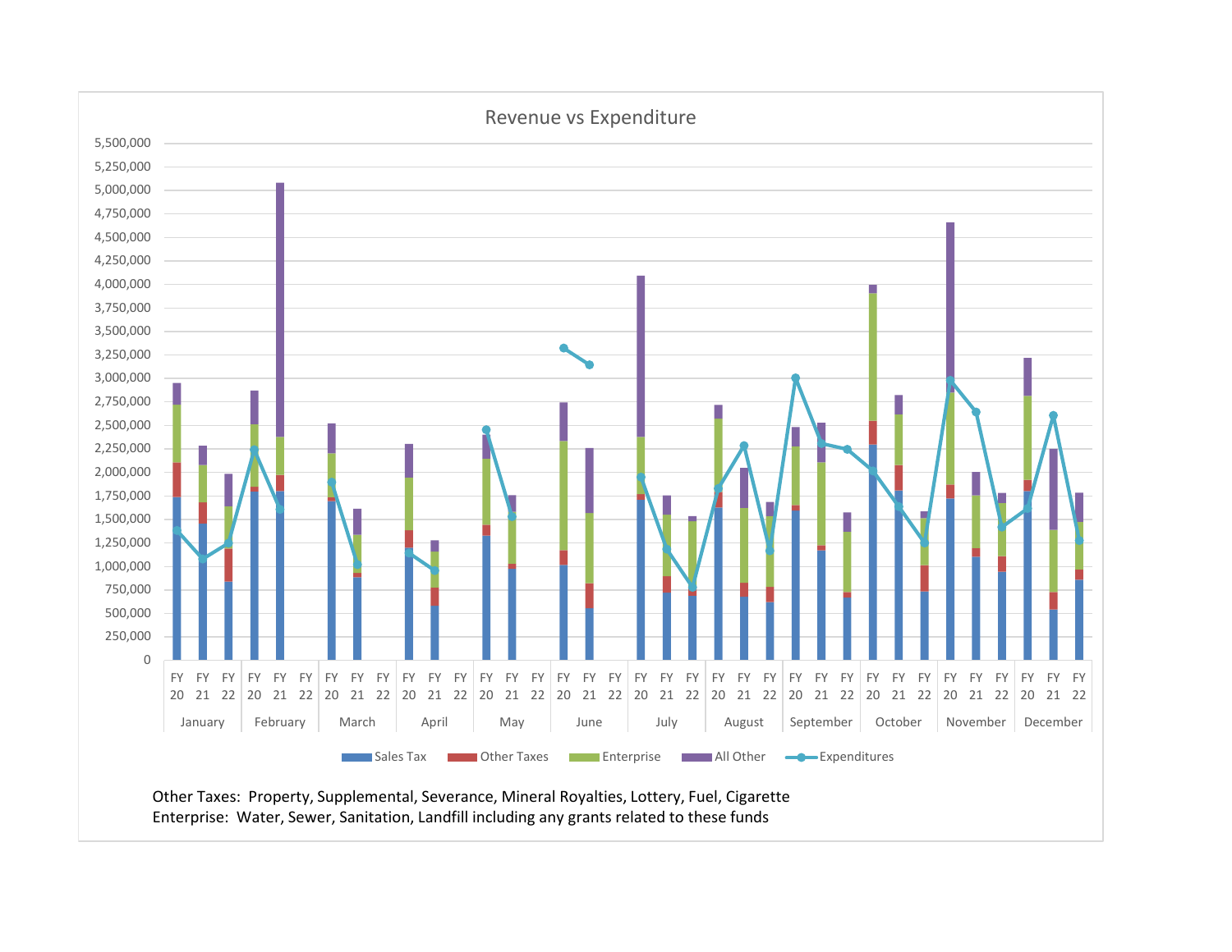

Enterprise: Water, Sewer, Sanitation, Landfill including any grants related to these funds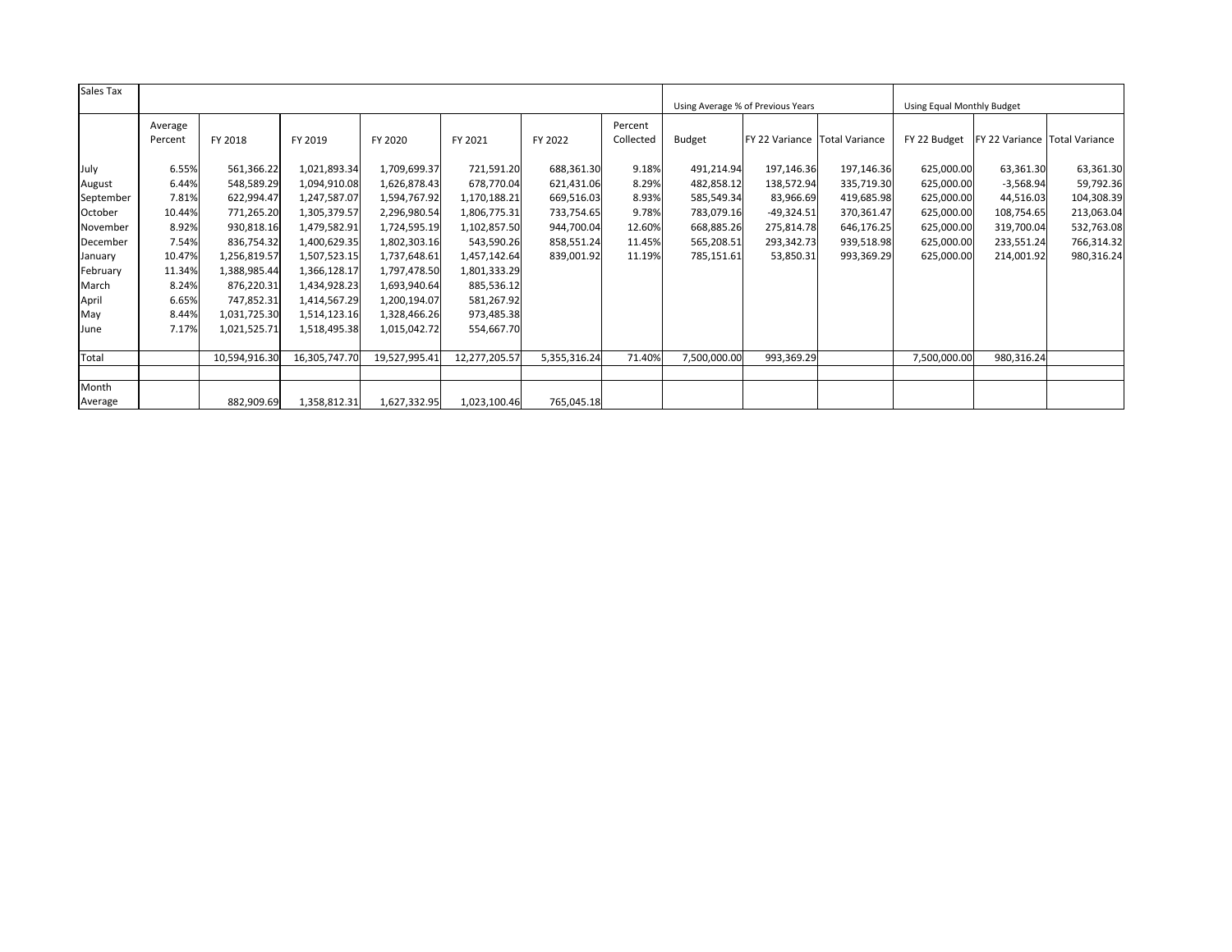| Sales Tax |         |               |               |               |               |              |           |                                   |                               |            |                            |                               |            |
|-----------|---------|---------------|---------------|---------------|---------------|--------------|-----------|-----------------------------------|-------------------------------|------------|----------------------------|-------------------------------|------------|
|           |         |               |               |               |               |              |           | Using Average % of Previous Years |                               |            | Using Equal Monthly Budget |                               |            |
|           | Average |               |               |               |               |              | Percent   |                                   |                               |            |                            |                               |            |
|           | Percent | FY 2018       | FY 2019       | FY 2020       | FY 2021       | FY 2022      | Collected | <b>Budget</b>                     | FY 22 Variance Total Variance |            | FY 22 Budget               | FY 22 Variance Total Variance |            |
|           |         |               |               |               |               |              |           |                                   |                               |            |                            |                               |            |
| July      | 6.55%   | 561,366.22    | 1,021,893.34  | 1,709,699.37  | 721,591.20    | 688,361.30   | 9.18%     | 491,214.94                        | 197,146.36                    | 197,146.36 | 625,000.00                 | 63,361.30                     | 63,361.30  |
| August    | 6.44%   | 548,589.29    | 1,094,910.08  | 1,626,878.43  | 678,770.04    | 621,431.06   | 8.29%     | 482,858.12                        | 138,572.94                    | 335,719.30 | 625,000.00                 | $-3,568.94$                   | 59,792.36  |
| September | 7.81%   | 622,994.47    | 1,247,587.07  | 1,594,767.92  | 1,170,188.21  | 669,516.03   | 8.93%     | 585,549.34                        | 83,966.69                     | 419,685.98 | 625,000.00                 | 44,516.03                     | 104,308.39 |
| October   | 10.44%  | 771,265.20    | 1,305,379.57  | 2,296,980.54  | 1,806,775.31  | 733,754.65   | 9.78%     | 783,079.16                        | $-49,324.51$                  | 370,361.47 | 625,000.00                 | 108,754.65                    | 213,063.04 |
| November  | 8.92%   | 930,818.16    | 1,479,582.91  | 1,724,595.19  | 1,102,857.50  | 944,700.04   | 12.60%    | 668,885.26                        | 275,814.78                    | 646,176.25 | 625,000.00                 | 319,700.04                    | 532,763.08 |
| December  | 7.54%   | 836,754.32    | 1,400,629.35  | 1,802,303.16  | 543,590.26    | 858,551.24   | 11.45%    | 565,208.51                        | 293,342.73                    | 939,518.98 | 625,000.00                 | 233,551.24                    | 766,314.32 |
| January   | 10.47%  | 1,256,819.57  | 1,507,523.15  | 1,737,648.61  | 1,457,142.64  | 839,001.92   | 11.19%    | 785,151.61                        | 53,850.31                     | 993,369.29 | 625,000.00                 | 214,001.92                    | 980,316.24 |
| February  | 11.34%  | 1,388,985.44  | 1,366,128.17  | 1,797,478.50  | 1,801,333.29  |              |           |                                   |                               |            |                            |                               |            |
| March     | 8.24%   | 876,220.31    | 1,434,928.23  | 1,693,940.64  | 885,536.12    |              |           |                                   |                               |            |                            |                               |            |
| April     | 6.65%   | 747,852.31    | 1,414,567.29  | 1,200,194.07  | 581,267.92    |              |           |                                   |                               |            |                            |                               |            |
| May       | 8.44%   | 1,031,725.30  | 1,514,123.16  | 1,328,466.26  | 973,485.38    |              |           |                                   |                               |            |                            |                               |            |
| June      | 7.17%   | 1,021,525.71  | 1,518,495.38  | 1,015,042.72  | 554,667.70    |              |           |                                   |                               |            |                            |                               |            |
|           |         |               |               |               |               |              |           |                                   |                               |            |                            |                               |            |
| Total     |         | 10,594,916.30 | 16,305,747.70 | 19,527,995.41 | 12,277,205.57 | 5,355,316.24 | 71.40%    | 7,500,000.00                      | 993,369.29                    |            | 7,500,000.00               | 980,316.24                    |            |
|           |         |               |               |               |               |              |           |                                   |                               |            |                            |                               |            |
| Month     |         |               |               |               |               |              |           |                                   |                               |            |                            |                               |            |
| Average   |         | 882,909.69    | 1,358,812.31  | 1,627,332.95  | 1,023,100.46  | 765,045.18   |           |                                   |                               |            |                            |                               |            |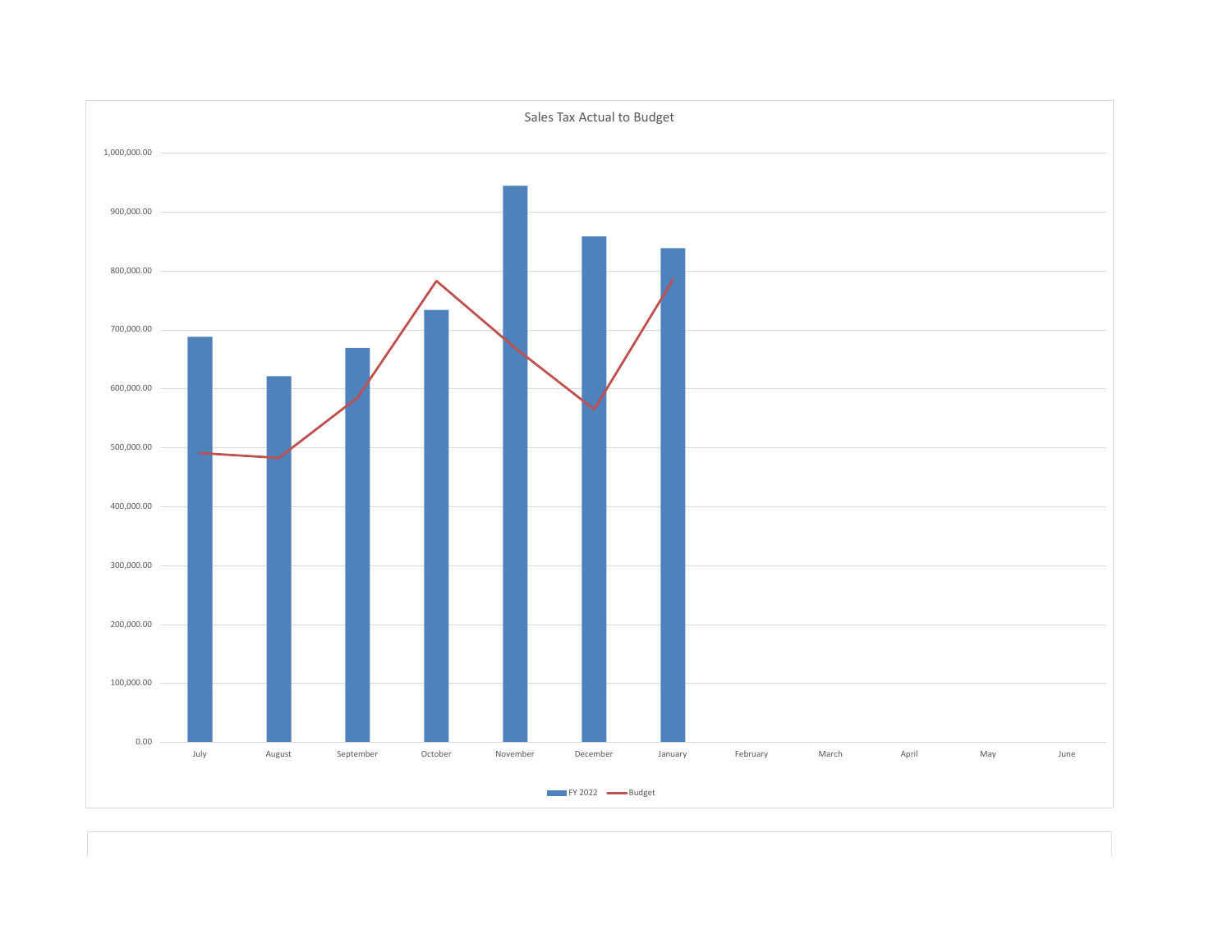